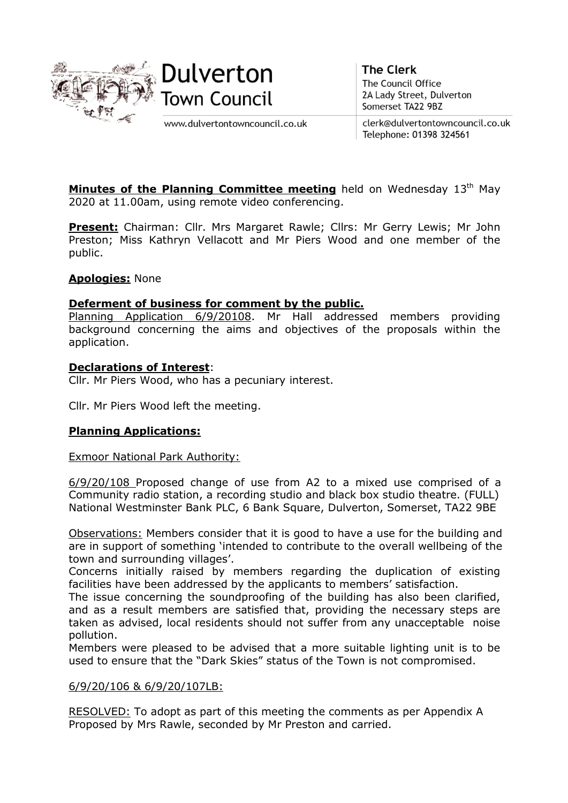



www.dulvertontowncouncil.co.uk

**The Clerk** The Council Office 2A Lady Street, Dulverton Somerset TA22 9BZ

clerk@dulvertontowncouncil.co.uk Telephone: 01398 324561

**Minutes of the Planning Committee meeting** held on Wednesday  $13<sup>th</sup>$  May 2020 at 11.00am, using remote video conferencing.

Present: Chairman: Cllr. Mrs Margaret Rawle; Cllrs: Mr Gerry Lewis; Mr John Preston; Miss Kathryn Vellacott and Mr Piers Wood and one member of the public.

# Apologies: None

### Deferment of business for comment by the public.

Planning Application 6/9/20108. Mr Hall addressed members providing background concerning the aims and objectives of the proposals within the application.

### Declarations of Interest:

Cllr. Mr Piers Wood, who has a pecuniary interest.

Cllr. Mr Piers Wood left the meeting.

# Planning Applications:

### Exmoor National Park Authority:

6/9/20/108 Proposed change of use from A2 to a mixed use comprised of a Community radio station, a recording studio and black box studio theatre. (FULL) National Westminster Bank PLC, 6 Bank Square, Dulverton, Somerset, TA22 9BE

Observations: Members consider that it is good to have a use for the building and are in support of something 'intended to contribute to the overall wellbeing of the town and surrounding villages'.

Concerns initially raised by members regarding the duplication of existing facilities have been addressed by the applicants to members' satisfaction.

The issue concerning the soundproofing of the building has also been clarified, and as a result members are satisfied that, providing the necessary steps are taken as advised, local residents should not suffer from any unacceptable noise pollution.

Members were pleased to be advised that a more suitable lighting unit is to be used to ensure that the "Dark Skies" status of the Town is not compromised.

### 6/9/20/106 & 6/9/20/107LB:

RESOLVED: To adopt as part of this meeting the comments as per Appendix A Proposed by Mrs Rawle, seconded by Mr Preston and carried.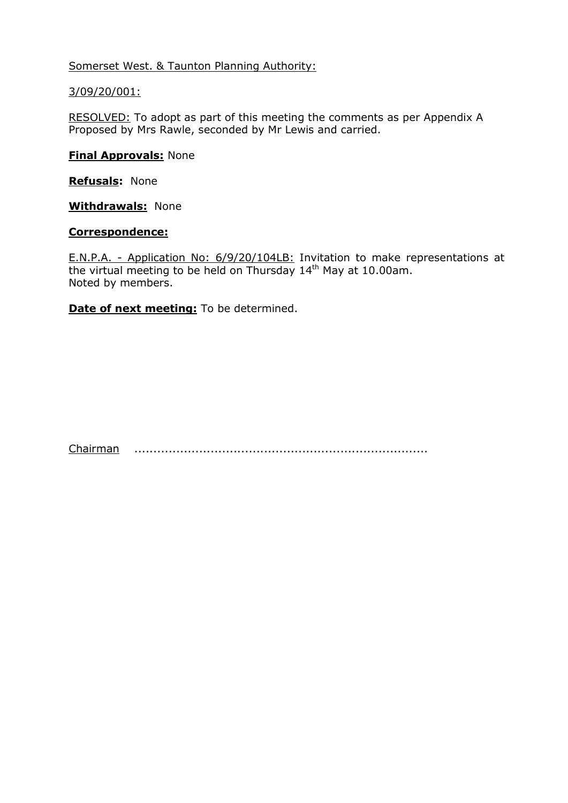Somerset West. & Taunton Planning Authority:

# 3/09/20/001:

RESOLVED: To adopt as part of this meeting the comments as per Appendix A Proposed by Mrs Rawle, seconded by Mr Lewis and carried.

# **Final Approvals: None**

Refusals: None

**Withdrawals: None** 

### Correspondence:

E.N.P.A. - Application No: 6/9/20/104LB: Invitation to make representations at the virtual meeting to be held on Thursday 14<sup>th</sup> May at 10.00am. Noted by members.

Date of next meeting: To be determined.

Chairman .............................................................................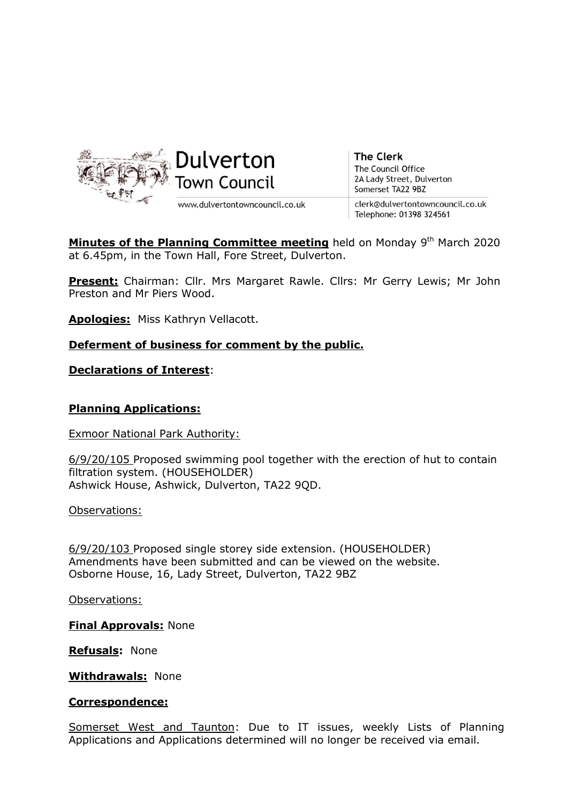

Minutes of the Planning Committee meeting held on Monday 9<sup>th</sup> March 2020 at 6.45pm, in the Town Hall, Fore Street, Dulverton.

Present: Chairman: Cllr. Mrs Margaret Rawle. Cllrs: Mr Gerry Lewis; Mr John Preston and Mr Piers Wood.

Apologies: Miss Kathryn Vellacott.

### Deferment of business for comment by the public.

Declarations of Interest:

### Planning Applications:

Exmoor National Park Authority:

6/9/20/105 Proposed swimming pool together with the erection of hut to contain filtration system. (HOUSEHOLDER) Ashwick House, Ashwick, Dulverton, TA22 9QD.

Observations:

6/9/20/103 Proposed single storey side extension. (HOUSEHOLDER) Amendments have been submitted and can be viewed on the website. Osborne House, 16, Lady Street, Dulverton, TA22 9BZ

Observations:

Final Approvals: None

Refusals: None

Withdrawals: None

#### Correspondence:

Somerset West and Taunton: Due to IT issues, weekly Lists of Planning Applications and Applications determined will no longer be received via email.